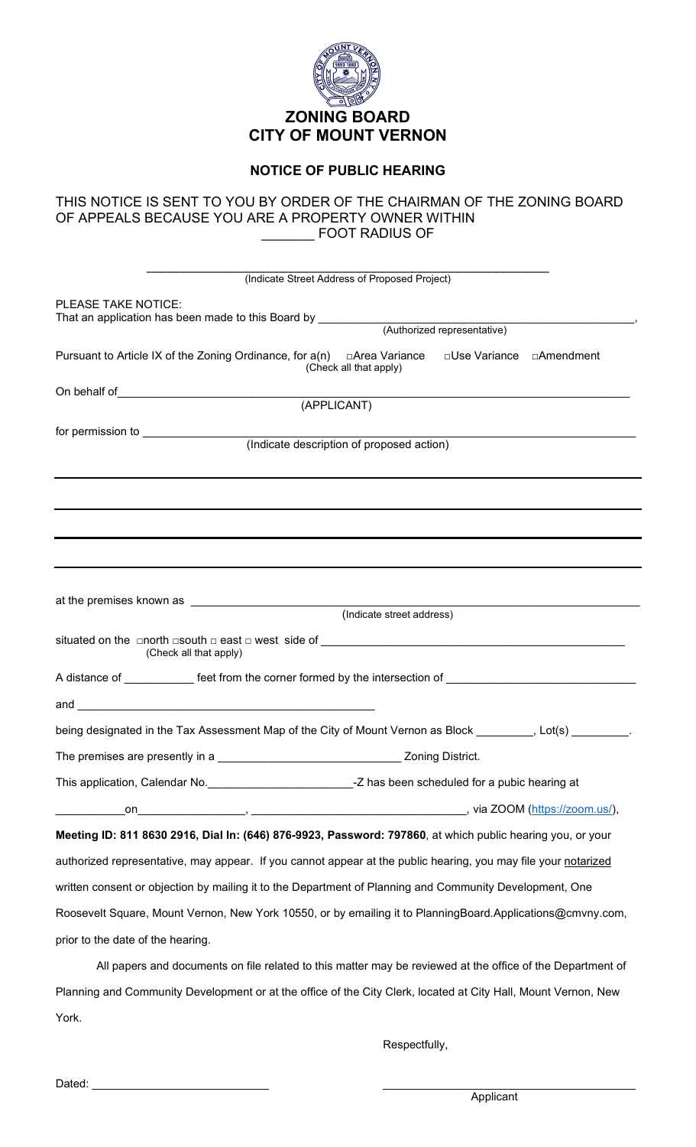

## **NOTICE OF PUBLIC HEARING**

## THIS NOTICE IS SENT TO YOU BY ORDER OF THE CHAIRMAN OF THE ZONING BOARD OF APPEALS BECAUSE YOU ARE A PROPERTY OWNER WITHIN \_\_\_\_\_\_\_ FOOT RADIUS OF

| (Indicate Street Address of Proposed Project)                                                                                                  |  |  |  |  |
|------------------------------------------------------------------------------------------------------------------------------------------------|--|--|--|--|
|                                                                                                                                                |  |  |  |  |
| PLEASE TAKE NOTICE:                                                                                                                            |  |  |  |  |
|                                                                                                                                                |  |  |  |  |
| Pursuant to Article IX of the Zoning Ordinance, for $a(n)$ $\Box$ Area Variance $\Box$ Use Variance $\Box$ Amendment<br>(Check all that apply) |  |  |  |  |
|                                                                                                                                                |  |  |  |  |
| (APPLICANT)                                                                                                                                    |  |  |  |  |
| (Indicate description of proposed action)                                                                                                      |  |  |  |  |
|                                                                                                                                                |  |  |  |  |
|                                                                                                                                                |  |  |  |  |
|                                                                                                                                                |  |  |  |  |
|                                                                                                                                                |  |  |  |  |
|                                                                                                                                                |  |  |  |  |
|                                                                                                                                                |  |  |  |  |
|                                                                                                                                                |  |  |  |  |
| (Indicate street address)                                                                                                                      |  |  |  |  |
|                                                                                                                                                |  |  |  |  |
| (Check all that apply)                                                                                                                         |  |  |  |  |
| A distance of ____________ feet from the corner formed by the intersection of _______________________________                                  |  |  |  |  |
|                                                                                                                                                |  |  |  |  |
| being designated in the Tax Assessment Map of the City of Mount Vernon as Block [1000], Lot(s) [1000]                                          |  |  |  |  |
|                                                                                                                                                |  |  |  |  |
|                                                                                                                                                |  |  |  |  |
|                                                                                                                                                |  |  |  |  |
|                                                                                                                                                |  |  |  |  |
| Meeting ID: 811 8630 2916, Dial In: (646) 876-9923, Password: 797860, at which public hearing you, or your                                     |  |  |  |  |
| authorized representative, may appear. If you cannot appear at the public hearing, you may file your notarized                                 |  |  |  |  |
| written consent or objection by mailing it to the Department of Planning and Community Development, One                                        |  |  |  |  |
| Roosevelt Square, Mount Vernon, New York 10550, or by emailing it to PlanningBoard.Applications@cmvny.com,                                     |  |  |  |  |
| prior to the date of the hearing.                                                                                                              |  |  |  |  |
| All papers and documents on file related to this matter may be reviewed at the office of the Department of                                     |  |  |  |  |
| Planning and Community Development or at the office of the City Clerk, Jocated at City Hall, Mount Vernon, New                                 |  |  |  |  |

Planning and Community Development or at the office of the City Clerk, located at City Hall, Mount Vernon, New York.

Respectfully,